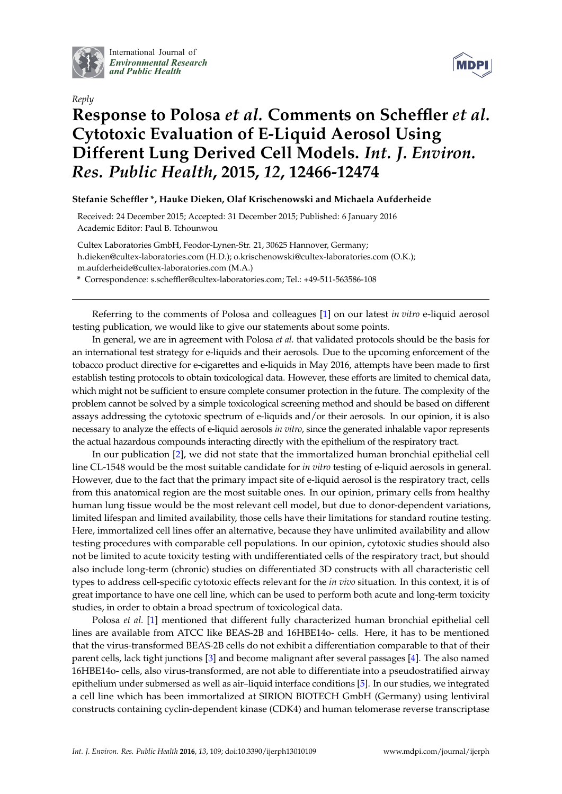

International Journal of *[Environmental Research](http://www.mdpi.com/journal/ijerph) and Public Health*





## **Response to Polosa** *et al.* **Comments on Scheffler** *et al.* **Cytotoxic Evaluation of E-Liquid Aerosol Using Different Lung Derived Cell Models.** *Int. J. Environ. Res. Public Health***, 2015,** *12***, 12466-12474**

## **Stefanie Scheffler \*, Hauke Dieken, Olaf Krischenowski and Michaela Aufderheide**

Received: 24 December 2015; Accepted: 31 December 2015; Published: 6 January 2016 Academic Editor: Paul B. Tchounwou

Cultex Laboratories GmbH, Feodor-Lynen-Str. 21, 30625 Hannover, Germany; h.dieken@cultex-laboratories.com (H.D.); o.krischenowski@cultex-laboratories.com (O.K.); m.aufderheide@cultex-laboratories.com (M.A.)

**\*** Correspondence: s.scheffler@cultex-laboratories.com; Tel.: +49-511-563586-108

Referring to the comments of Polosa and colleagues [\[1\]](#page-1-0) on our latest *in vitro* e-liquid aerosol testing publication, we would like to give our statements about some points.

In general, we are in agreement with Polosa *et al.* that validated protocols should be the basis for an international test strategy for e-liquids and their aerosols. Due to the upcoming enforcement of the tobacco product directive for e-cigarettes and e-liquids in May 2016, attempts have been made to first establish testing protocols to obtain toxicological data. However, these efforts are limited to chemical data, which might not be sufficient to ensure complete consumer protection in the future. The complexity of the problem cannot be solved by a simple toxicological screening method and should be based on different assays addressing the cytotoxic spectrum of e-liquids and/or their aerosols. In our opinion, it is also necessary to analyze the effects of e-liquid aerosols *in vitro*, since the generated inhalable vapor represents the actual hazardous compounds interacting directly with the epithelium of the respiratory tract.

In our publication [\[2\]](#page-1-1), we did not state that the immortalized human bronchial epithelial cell line CL-1548 would be the most suitable candidate for *in vitro* testing of e-liquid aerosols in general. However, due to the fact that the primary impact site of e-liquid aerosol is the respiratory tract, cells from this anatomical region are the most suitable ones. In our opinion, primary cells from healthy human lung tissue would be the most relevant cell model, but due to donor-dependent variations, limited lifespan and limited availability, those cells have their limitations for standard routine testing. Here, immortalized cell lines offer an alternative, because they have unlimited availability and allow testing procedures with comparable cell populations. In our opinion, cytotoxic studies should also not be limited to acute toxicity testing with undifferentiated cells of the respiratory tract, but should also include long-term (chronic) studies on differentiated 3D constructs with all characteristic cell types to address cell-specific cytotoxic effects relevant for the *in vivo* situation. In this context, it is of great importance to have one cell line, which can be used to perform both acute and long-term toxicity studies, in order to obtain a broad spectrum of toxicological data.

Polosa *et al.* [\[1\]](#page-1-0) mentioned that different fully characterized human bronchial epithelial cell lines are available from ATCC like BEAS-2B and 16HBE14o- cells. Here, it has to be mentioned that the virus-transformed BEAS-2B cells do not exhibit a differentiation comparable to that of their parent cells, lack tight junctions [\[3\]](#page-1-2) and become malignant after several passages [\[4\]](#page-1-3). The also named 16HBE14o- cells, also virus-transformed, are not able to differentiate into a pseudostratified airway epithelium under submersed as well as air–liquid interface conditions [\[5\]](#page-1-4). In our studies, we integrated a cell line which has been immortalized at SIRION BIOTECH GmbH (Germany) using lentiviral constructs containing cyclin-dependent kinase (CDK4) and human telomerase reverse transcriptase